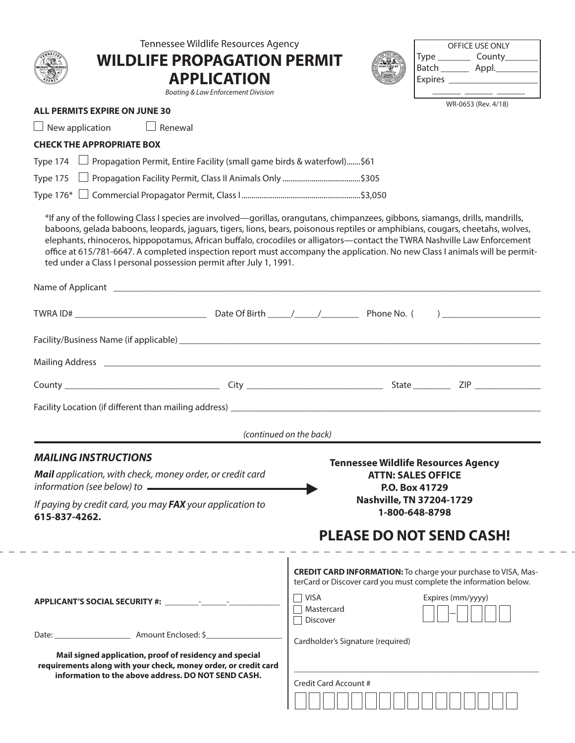| Tennessee Wildlife Resources Agency<br><b>WILDLIFE PROPAGATION PERMIT</b><br><b>APPLICATION</b><br>Boating & Law Enforcement Division                                                                                                                                                                                                                                                                                                                                                                                                                                                               |                                              | OFFICE USE ONLY<br>Type ___________ County_________<br>Batch ___________ Appl.____________                                                                      |  |  |  |
|-----------------------------------------------------------------------------------------------------------------------------------------------------------------------------------------------------------------------------------------------------------------------------------------------------------------------------------------------------------------------------------------------------------------------------------------------------------------------------------------------------------------------------------------------------------------------------------------------------|----------------------------------------------|-----------------------------------------------------------------------------------------------------------------------------------------------------------------|--|--|--|
| <b>ALL PERMITS EXPIRE ON JUNE 30</b>                                                                                                                                                                                                                                                                                                                                                                                                                                                                                                                                                                |                                              | WR-0653 (Rev. 4/18)                                                                                                                                             |  |  |  |
| $\Box$ Renewal<br>New application                                                                                                                                                                                                                                                                                                                                                                                                                                                                                                                                                                   |                                              |                                                                                                                                                                 |  |  |  |
| <b>CHECK THE APPROPRIATE BOX</b>                                                                                                                                                                                                                                                                                                                                                                                                                                                                                                                                                                    |                                              |                                                                                                                                                                 |  |  |  |
| $\Box$ Propagation Permit, Entire Facility (small game birds & waterfowl)\$61<br>Type 174                                                                                                                                                                                                                                                                                                                                                                                                                                                                                                           |                                              |                                                                                                                                                                 |  |  |  |
| Type 175                                                                                                                                                                                                                                                                                                                                                                                                                                                                                                                                                                                            |                                              |                                                                                                                                                                 |  |  |  |
|                                                                                                                                                                                                                                                                                                                                                                                                                                                                                                                                                                                                     |                                              |                                                                                                                                                                 |  |  |  |
| *If any of the following Class I species are involved—gorillas, orangutans, chimpanzees, gibbons, siamangs, drills, mandrills,<br>baboons, gelada baboons, leopards, jaguars, tigers, lions, bears, poisonous reptiles or amphibians, cougars, cheetahs, wolves,<br>elephants, rhinoceros, hippopotamus, African buffalo, crocodiles or alligators—contact the TWRA Nashville Law Enforcement<br>office at 615/781-6647. A completed inspection report must accompany the application. No new Class I animals will be permit-<br>ted under a Class I personal possession permit after July 1, 1991. |                                              |                                                                                                                                                                 |  |  |  |
|                                                                                                                                                                                                                                                                                                                                                                                                                                                                                                                                                                                                     |                                              |                                                                                                                                                                 |  |  |  |
|                                                                                                                                                                                                                                                                                                                                                                                                                                                                                                                                                                                                     |                                              |                                                                                                                                                                 |  |  |  |
| Mailing Address 2008 2009 2010 2020 2020 2021 2021 2022 2023 2024 2022 2023 2024 2022 2023 2024 2022 2023 2024                                                                                                                                                                                                                                                                                                                                                                                                                                                                                      |                                              |                                                                                                                                                                 |  |  |  |
|                                                                                                                                                                                                                                                                                                                                                                                                                                                                                                                                                                                                     |                                              |                                                                                                                                                                 |  |  |  |
| Facility Location (if different than mailing address) entitled and the control of the control of the control of                                                                                                                                                                                                                                                                                                                                                                                                                                                                                     |                                              |                                                                                                                                                                 |  |  |  |
|                                                                                                                                                                                                                                                                                                                                                                                                                                                                                                                                                                                                     | (continued on the back)                      |                                                                                                                                                                 |  |  |  |
|                                                                                                                                                                                                                                                                                                                                                                                                                                                                                                                                                                                                     |                                              |                                                                                                                                                                 |  |  |  |
| <b>MAILING INSTRUCTIONS</b><br>Mail application, with check, money order, or credit card<br>information (see below) to $\qquad \qquad$                                                                                                                                                                                                                                                                                                                                                                                                                                                              |                                              | <b>Tennessee Wildlife Resources Agency</b><br><b>ATTN: SALES OFFICE</b><br>P.O. Box 41729                                                                       |  |  |  |
| If paying by credit card, you may FAX your application to<br>615-837-4262.                                                                                                                                                                                                                                                                                                                                                                                                                                                                                                                          |                                              | Nashville, TN 37204-1729<br>1-800-648-8798                                                                                                                      |  |  |  |
|                                                                                                                                                                                                                                                                                                                                                                                                                                                                                                                                                                                                     |                                              | <b>PLEASE DO NOT SEND CASH!</b>                                                                                                                                 |  |  |  |
|                                                                                                                                                                                                                                                                                                                                                                                                                                                                                                                                                                                                     | $\Box$ Visa<br>Mastercard<br>$\Box$ Discover | <b>CREDIT CARD INFORMATION:</b> To charge your purchase to VISA, Mas-<br>terCard or Discover card you must complete the information below.<br>Expires (mm/yyyy) |  |  |  |
|                                                                                                                                                                                                                                                                                                                                                                                                                                                                                                                                                                                                     |                                              |                                                                                                                                                                 |  |  |  |
| Mail signed application, proof of residency and special<br>requirements along with your check, money order, or credit card                                                                                                                                                                                                                                                                                                                                                                                                                                                                          | Cardholder's Signature (required)            |                                                                                                                                                                 |  |  |  |
| information to the above address. DO NOT SEND CASH.                                                                                                                                                                                                                                                                                                                                                                                                                                                                                                                                                 | Credit Card Account #                        |                                                                                                                                                                 |  |  |  |